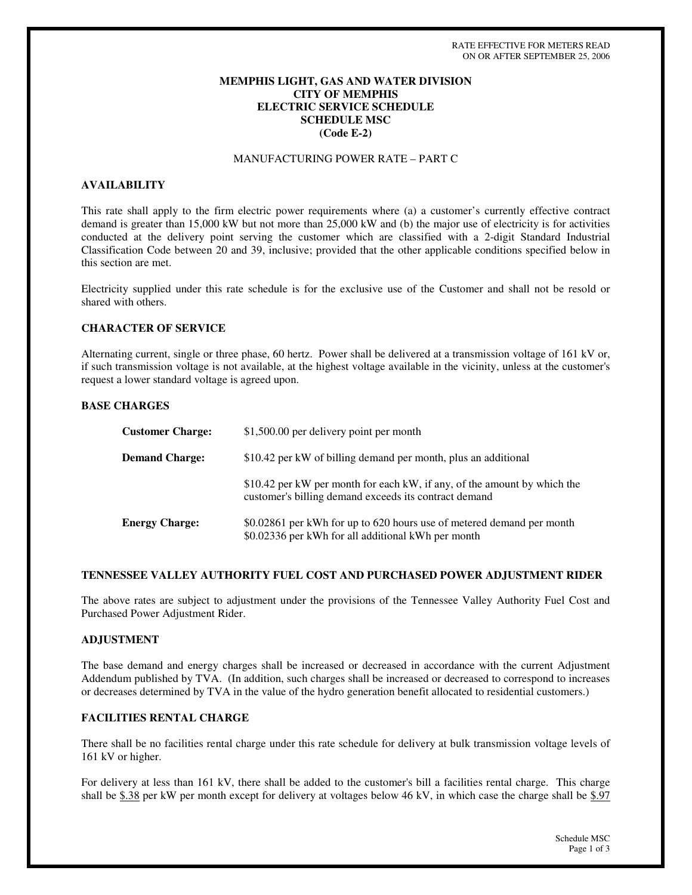## **MEMPHIS LIGHT, GAS AND WATER DIVISION CITY OF MEMPHIS ELECTRIC SERVICE SCHEDULE SCHEDULE MSC (Code E-2)**

# MANUFACTURING POWER RATE – PART C

### **AVAILABILITY**

This rate shall apply to the firm electric power requirements where (a) a customer's currently effective contract demand is greater than 15,000 kW but not more than 25,000 kW and (b) the major use of electricity is for activities conducted at the delivery point serving the customer which are classified with a 2-digit Standard Industrial Classification Code between 20 and 39, inclusive; provided that the other applicable conditions specified below in this section are met.

Electricity supplied under this rate schedule is for the exclusive use of the Customer and shall not be resold or shared with others.

#### **CHARACTER OF SERVICE**

Alternating current, single or three phase, 60 hertz. Power shall be delivered at a transmission voltage of 161 kV or, if such transmission voltage is not available, at the highest voltage available in the vicinity, unless at the customer's request a lower standard voltage is agreed upon.

### **BASE CHARGES**

| <b>Customer Charge:</b> | \$1,500.00 per delivery point per month                                                                                           |
|-------------------------|-----------------------------------------------------------------------------------------------------------------------------------|
| <b>Demand Charge:</b>   | \$10.42 per kW of billing demand per month, plus an additional                                                                    |
|                         | \$10.42 per kW per month for each kW, if any, of the amount by which the<br>customer's billing demand exceeds its contract demand |
| <b>Energy Charge:</b>   | \$0.02861 per kWh for up to 620 hours use of metered demand per month<br>\$0.02336 per kWh for all additional kWh per month       |

### **TENNESSEE VALLEY AUTHORITY FUEL COST AND PURCHASED POWER ADJUSTMENT RIDER**

The above rates are subject to adjustment under the provisions of the Tennessee Valley Authority Fuel Cost and Purchased Power Adjustment Rider.

### **ADJUSTMENT**

The base demand and energy charges shall be increased or decreased in accordance with the current Adjustment Addendum published by TVA. (In addition, such charges shall be increased or decreased to correspond to increases or decreases determined by TVA in the value of the hydro generation benefit allocated to residential customers.)

### **FACILITIES RENTAL CHARGE**

There shall be no facilities rental charge under this rate schedule for delivery at bulk transmission voltage levels of 161 kV or higher.

For delivery at less than 161 kV, there shall be added to the customer's bill a facilities rental charge. This charge shall be  $$.38$  per kW per month except for delivery at voltages below 46 kV, in which case the charge shall be  $$.97$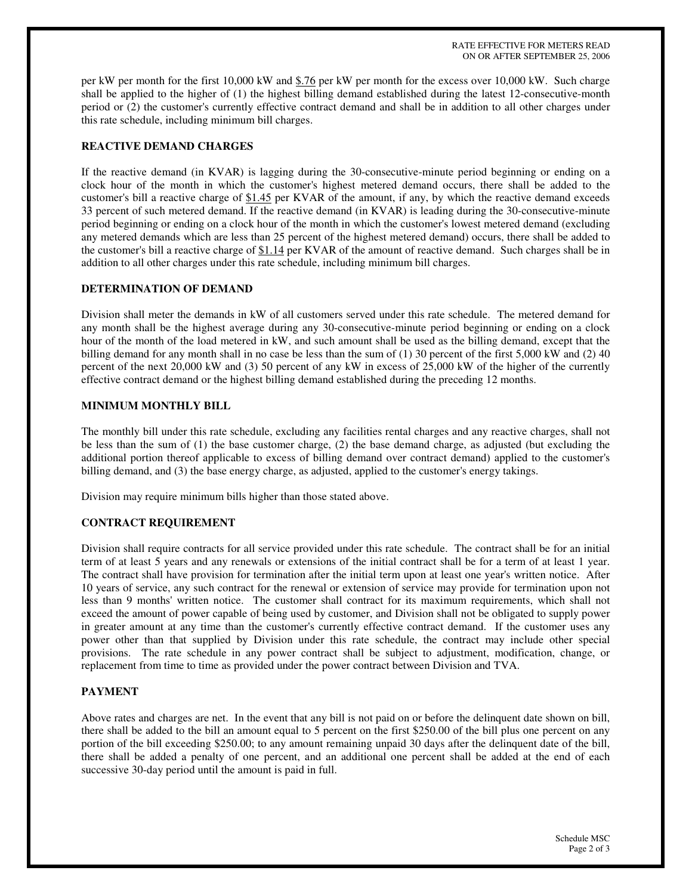RATE EFFECTIVE FOR METERS READ ON OR AFTER SEPTEMBER 25, 2006

per kW per month for the first 10,000 kW and \$.76 per kW per month for the excess over 10,000 kW. Such charge shall be applied to the higher of (1) the highest billing demand established during the latest 12-consecutive-month period or (2) the customer's currently effective contract demand and shall be in addition to all other charges under this rate schedule, including minimum bill charges.

## **REACTIVE DEMAND CHARGES**

If the reactive demand (in KVAR) is lagging during the 30-consecutive-minute period beginning or ending on a clock hour of the month in which the customer's highest metered demand occurs, there shall be added to the customer's bill a reactive charge of \$1.45 per KVAR of the amount, if any, by which the reactive demand exceeds 33 percent of such metered demand. If the reactive demand (in KVAR) is leading during the 30-consecutive-minute period beginning or ending on a clock hour of the month in which the customer's lowest metered demand (excluding any metered demands which are less than 25 percent of the highest metered demand) occurs, there shall be added to the customer's bill a reactive charge of \$1.14 per KVAR of the amount of reactive demand. Such charges shall be in addition to all other charges under this rate schedule, including minimum bill charges.

### **DETERMINATION OF DEMAND**

Division shall meter the demands in kW of all customers served under this rate schedule. The metered demand for any month shall be the highest average during any 30-consecutive-minute period beginning or ending on a clock hour of the month of the load metered in kW, and such amount shall be used as the billing demand, except that the billing demand for any month shall in no case be less than the sum of (1) 30 percent of the first 5,000 kW and (2) 40 percent of the next 20,000 kW and (3) 50 percent of any kW in excess of 25,000 kW of the higher of the currently effective contract demand or the highest billing demand established during the preceding 12 months.

### **MINIMUM MONTHLY BILL**

The monthly bill under this rate schedule, excluding any facilities rental charges and any reactive charges, shall not be less than the sum of (1) the base customer charge, (2) the base demand charge, as adjusted (but excluding the additional portion thereof applicable to excess of billing demand over contract demand) applied to the customer's billing demand, and (3) the base energy charge, as adjusted, applied to the customer's energy takings.

Division may require minimum bills higher than those stated above.

# **CONTRACT REQUIREMENT**

Division shall require contracts for all service provided under this rate schedule. The contract shall be for an initial term of at least 5 years and any renewals or extensions of the initial contract shall be for a term of at least 1 year. The contract shall have provision for termination after the initial term upon at least one year's written notice. After 10 years of service, any such contract for the renewal or extension of service may provide for termination upon not less than 9 months'written notice. The customer shall contract for its maximum requirements, which shall not exceed the amount of power capable of being used by customer, and Division shall not be obligated to supply power in greater amount at any time than the customer's currently effective contract demand. If the customer uses any power other than that supplied by Division under this rate schedule, the contract may include other special provisions. The rate schedule in any power contract shall be subject to adjustment, modification, change, or replacement from time to time as provided under the power contract between Division and TVA.

### **PAYMENT**

Above rates and charges are net. In the event that any bill is not paid on or before the delinquent date shown on bill, there shall be added to the bill an amount equal to 5 percent on the first \$250.00 of the bill plus one percent on any portion of the bill exceeding \$250.00; to any amount remaining unpaid 30 days after the delinquent date of the bill, there shall be added a penalty of one percent, and an additional one percent shall be added at the end of each successive 30-day period until the amount is paid in full.